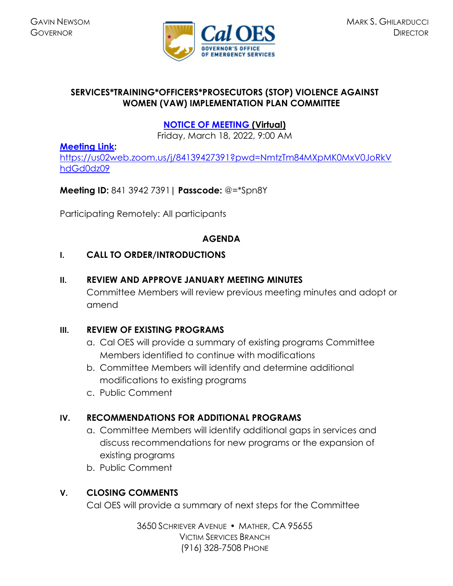

## **SERVICES\*TRAINING\*OFFICERS\*PROSECUTORS (STOP) VIOLENCE AGAINST WOMEN (VAW) IMPLEMENTATION PLAN COMMITTEE**

# **[NOTICE OF MEETING](https://caloes.ca.gov/cal-oes-divisions/grants-management/victim-services/meeting-public-notices) (Virtual)**

Friday, March 18, 2022, 9:00 AM

### **[Meeting Link:](https://us02web.zoom.us/j/84139427391?pwd=NmtzTm84MXpMK0MxV0JoRkVhdGd0dz09)**

[https://us02web.zoom.us/j/84139427391?pwd=NmtzTm84MXpMK0MxV0JoRkV](https://us02web.zoom.us/j/84139427391?pwd=NmtzTm84MXpMK0MxV0JoRkVhdGd0dz09) [hdGd0dz09](https://us02web.zoom.us/j/84139427391?pwd=NmtzTm84MXpMK0MxV0JoRkVhdGd0dz09)

### **Meeting ID:** 841 3942 7391**| Passcode:** @=\*Spn8Y

Participating Remotely: All participants

#### **AGENDA**

### **I. CALL TO ORDER/INTRODUCTIONS**

#### **II. REVIEW AND APPROVE JANUARY MEETING MINUTES**

Committee Members will review previous meeting minutes and adopt or amend

#### **III. REVIEW OF EXISTING PROGRAMS**

- a. Cal OES will provide a summary of existing programs Committee Members identified to continue with modifications
- b. Committee Members will identify and determine additional modifications to existing programs
- c. Public Comment

## **IV. RECOMMENDATIONS FOR ADDITIONAL PROGRAMS**

- a. Committee Members will identify additional gaps in services and discuss recommendations for new programs or the expansion of existing programs
- b. Public Comment

## **V. CLOSING COMMENTS**

Cal OES will provide a summary of next steps for the Committee

3650 SCHRIEVER AVENUE MATHER, CA 95655 VICTIM SERVICES BRANCH (916) 328-7508 PHONE